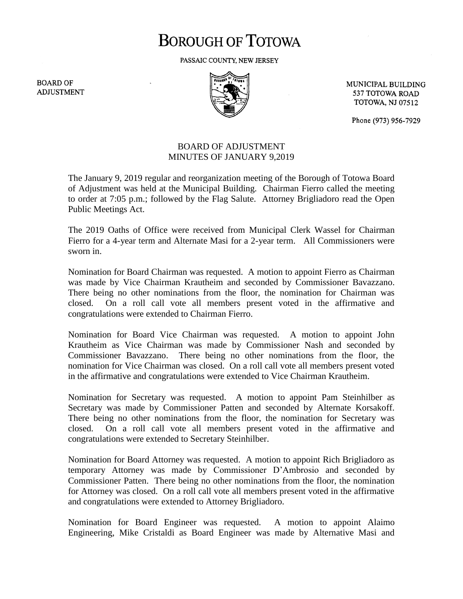# **BOROUGH OF TOTOWA**

PASSAIC COUNTY, NEW JERSEY

**BOARD OF ADJUSTMENT** 



MUNICIPAL BUILDING 537 TOTOWA ROAD **TOTOWA, NJ 07512** 

Phone (973) 956-7929

## BOARD OF ADJUSTMENT MINUTES OF JANUARY 9,2019

The January 9, 2019 regular and reorganization meeting of the Borough of Totowa Board of Adjustment was held at the Municipal Building. Chairman Fierro called the meeting to order at 7:05 p.m.; followed by the Flag Salute. Attorney Brigliadoro read the Open Public Meetings Act.

The 2019 Oaths of Office were received from Municipal Clerk Wassel for Chairman Fierro for a 4-year term and Alternate Masi for a 2-year term. All Commissioners were sworn in.

Nomination for Board Chairman was requested. A motion to appoint Fierro as Chairman was made by Vice Chairman Krautheim and seconded by Commissioner Bavazzano. There being no other nominations from the floor, the nomination for Chairman was closed. On a roll call vote all members present voted in the affirmative and congratulations were extended to Chairman Fierro.

Nomination for Board Vice Chairman was requested. A motion to appoint John Krautheim as Vice Chairman was made by Commissioner Nash and seconded by Commissioner Bavazzano. There being no other nominations from the floor, the nomination for Vice Chairman was closed. On a roll call vote all members present voted in the affirmative and congratulations were extended to Vice Chairman Krautheim.

Nomination for Secretary was requested. A motion to appoint Pam Steinhilber as Secretary was made by Commissioner Patten and seconded by Alternate Korsakoff. There being no other nominations from the floor, the nomination for Secretary was closed. On a roll call vote all members present voted in the affirmative and congratulations were extended to Secretary Steinhilber.

Nomination for Board Attorney was requested. A motion to appoint Rich Brigliadoro as temporary Attorney was made by Commissioner D'Ambrosio and seconded by Commissioner Patten. There being no other nominations from the floor, the nomination for Attorney was closed. On a roll call vote all members present voted in the affirmative and congratulations were extended to Attorney Brigliadoro.

Nomination for Board Engineer was requested. A motion to appoint Alaimo Engineering, Mike Cristaldi as Board Engineer was made by Alternative Masi and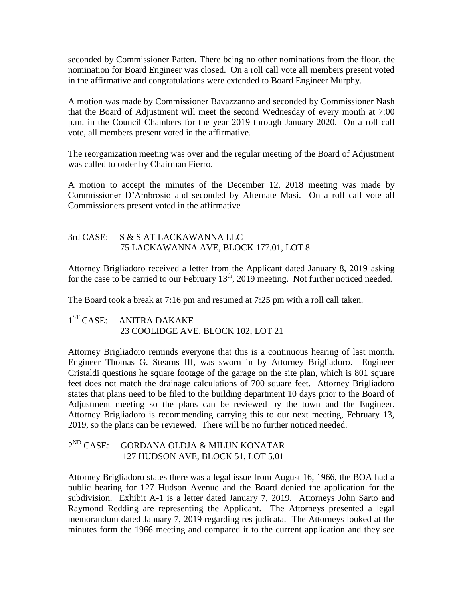seconded by Commissioner Patten. There being no other nominations from the floor, the nomination for Board Engineer was closed. On a roll call vote all members present voted in the affirmative and congratulations were extended to Board Engineer Murphy.

A motion was made by Commissioner Bavazzanno and seconded by Commissioner Nash that the Board of Adjustment will meet the second Wednesday of every month at 7:00 p.m. in the Council Chambers for the year 2019 through January 2020. On a roll call vote, all members present voted in the affirmative.

The reorganization meeting was over and the regular meeting of the Board of Adjustment was called to order by Chairman Fierro.

A motion to accept the minutes of the December 12, 2018 meeting was made by Commissioner D'Ambrosio and seconded by Alternate Masi. On a roll call vote all Commissioners present voted in the affirmative

## 3rd CASE: S & S AT LACKAWANNA LLC 75 LACKAWANNA AVE, BLOCK 177.01, LOT 8

Attorney Brigliadoro received a letter from the Applicant dated January 8, 2019 asking for the case to be carried to our February  $13<sup>th</sup>$ , 2019 meeting. Not further noticed needed.

The Board took a break at 7:16 pm and resumed at 7:25 pm with a roll call taken.

#### $1<sup>ST</sup> CASE:$ ANITRA DAKAKE 23 COOLIDGE AVE, BLOCK 102, LOT 21

Attorney Brigliadoro reminds everyone that this is a continuous hearing of last month. Engineer Thomas G. Stearns III, was sworn in by Attorney Brigliadoro. Engineer Cristaldi questions he square footage of the garage on the site plan, which is 801 square feet does not match the drainage calculations of 700 square feet. Attorney Brigliadoro states that plans need to be filed to the building department 10 days prior to the Board of Adjustment meeting so the plans can be reviewed by the town and the Engineer. Attorney Brigliadoro is recommending carrying this to our next meeting, February 13, 2019, so the plans can be reviewed. There will be no further noticed needed.

#### $2^{ND}$  CASE: GORDANA OLDJA & MILUN KONATAR 127 HUDSON AVE, BLOCK 51, LOT 5.01

Attorney Brigliadoro states there was a legal issue from August 16, 1966, the BOA had a public hearing for 127 Hudson Avenue and the Board denied the application for the subdivision. Exhibit A-1 is a letter dated January 7, 2019. Attorneys John Sarto and Raymond Redding are representing the Applicant. The Attorneys presented a legal memorandum dated January 7, 2019 regarding res judicata. The Attorneys looked at the minutes form the 1966 meeting and compared it to the current application and they see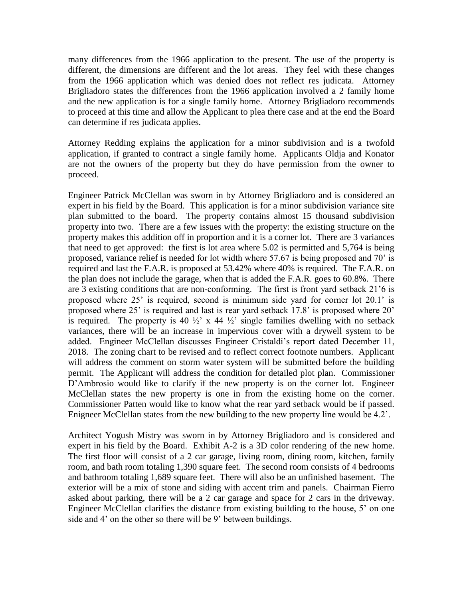many differences from the 1966 application to the present. The use of the property is different, the dimensions are different and the lot areas. They feel with these changes from the 1966 application which was denied does not reflect res judicata. Attorney Brigliadoro states the differences from the 1966 application involved a 2 family home and the new application is for a single family home. Attorney Brigliadoro recommends to proceed at this time and allow the Applicant to plea there case and at the end the Board can determine if res judicata applies.

Attorney Redding explains the application for a minor subdivision and is a twofold application, if granted to contract a single family home. Applicants Oldja and Konator are not the owners of the property but they do have permission from the owner to proceed.

Engineer Patrick McClellan was sworn in by Attorney Brigliadoro and is considered an expert in his field by the Board. This application is for a minor subdivision variance site plan submitted to the board. The property contains almost 15 thousand subdivision property into two. There are a few issues with the property: the existing structure on the property makes this addition off in proportion and it is a corner lot. There are 3 variances that need to get approved: the first is lot area where 5.02 is permitted and 5,764 is being proposed, variance relief is needed for lot width where 57.67 is being proposed and 70' is required and last the F.A.R. is proposed at 53.42% where 40% is required. The F.A.R. on the plan does not include the garage, when that is added the F.A.R. goes to 60.8%. There are 3 existing conditions that are non-conforming. The first is front yard setback 21'6 is proposed where 25' is required, second is minimum side yard for corner lot 20.1' is proposed where 25' is required and last is rear yard setback 17.8' is proposed where 20' is required. The property is 40  $\frac{1}{2}$  x 44  $\frac{1}{2}$  single families dwelling with no setback variances, there will be an increase in impervious cover with a drywell system to be added. Engineer McClellan discusses Engineer Cristaldi's report dated December 11, 2018. The zoning chart to be revised and to reflect correct footnote numbers. Applicant will address the comment on storm water system will be submitted before the building permit. The Applicant will address the condition for detailed plot plan. Commissioner D'Ambrosio would like to clarify if the new property is on the corner lot. Engineer McClellan states the new property is one in from the existing home on the corner. Commissioner Patten would like to know what the rear yard setback would be if passed. Enigneer McClellan states from the new building to the new property line would be 4.2'.

Architect Yogush Mistry was sworn in by Attorney Brigliadoro and is considered and expert in his field by the Board. Exhibit A-2 is a 3D color rendering of the new home. The first floor will consist of a 2 car garage, living room, dining room, kitchen, family room, and bath room totaling 1,390 square feet. The second room consists of 4 bedrooms and bathroom totaling 1,689 square feet. There will also be an unfinished basement. The exterior will be a mix of stone and siding with accent trim and panels. Chairman Fierro asked about parking, there will be a 2 car garage and space for 2 cars in the driveway. Engineer McClellan clarifies the distance from existing building to the house, 5' on one side and 4' on the other so there will be 9' between buildings.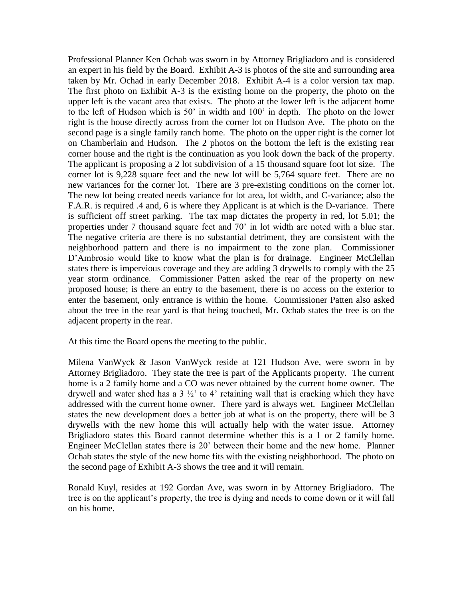Professional Planner Ken Ochab was sworn in by Attorney Brigliadoro and is considered an expert in his field by the Board. Exhibit A-3 is photos of the site and surrounding area taken by Mr. Ochad in early December 2018. Exhibit A-4 is a color version tax map. The first photo on Exhibit A-3 is the existing home on the property, the photo on the upper left is the vacant area that exists. The photo at the lower left is the adjacent home to the left of Hudson which is 50' in width and 100' in depth. The photo on the lower right is the house directly across from the corner lot on Hudson Ave. The photo on the second page is a single family ranch home. The photo on the upper right is the corner lot on Chamberlain and Hudson. The 2 photos on the bottom the left is the existing rear corner house and the right is the continuation as you look down the back of the property. The applicant is proposing a 2 lot subdivision of a 15 thousand square foot lot size. The corner lot is 9,228 square feet and the new lot will be 5,764 square feet. There are no new variances for the corner lot. There are 3 pre-existing conditions on the corner lot. The new lot being created needs variance for lot area, lot width, and C-variance; also the F.A.R. is required .4 and, 6 is where they Applicant is at which is the D-variance. There is sufficient off street parking. The tax map dictates the property in red, lot 5.01; the properties under 7 thousand square feet and 70' in lot width are noted with a blue star. The negative criteria are there is no substantial detriment, they are consistent with the neighborhood pattern and there is no impairment to the zone plan. Commissioner D'Ambrosio would like to know what the plan is for drainage. Engineer McClellan states there is impervious coverage and they are adding 3 drywells to comply with the 25 year storm ordinance. Commissioner Patten asked the rear of the property on new proposed house; is there an entry to the basement, there is no access on the exterior to enter the basement, only entrance is within the home. Commissioner Patten also asked about the tree in the rear yard is that being touched, Mr. Ochab states the tree is on the adjacent property in the rear.

At this time the Board opens the meeting to the public.

Milena VanWyck & Jason VanWyck reside at 121 Hudson Ave, were sworn in by Attorney Brigliadoro. They state the tree is part of the Applicants property. The current home is a 2 family home and a CO was never obtained by the current home owner. The drywell and water shed has a  $3\frac{1}{2}$  to 4' retaining wall that is cracking which they have addressed with the current home owner. There yard is always wet. Engineer McClellan states the new development does a better job at what is on the property, there will be 3 drywells with the new home this will actually help with the water issue. Attorney Brigliadoro states this Board cannot determine whether this is a 1 or 2 family home. Engineer McClellan states there is 20' between their home and the new home. Planner Ochab states the style of the new home fits with the existing neighborhood. The photo on the second page of Exhibit A-3 shows the tree and it will remain.

Ronald Kuyl, resides at 192 Gordan Ave, was sworn in by Attorney Brigliadoro. The tree is on the applicant's property, the tree is dying and needs to come down or it will fall on his home.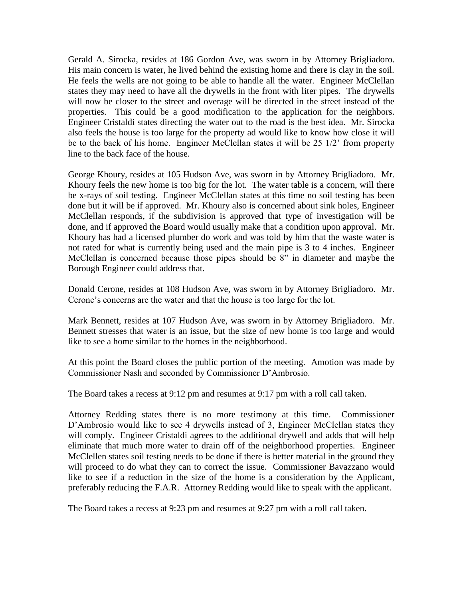Gerald A. Sirocka, resides at 186 Gordon Ave, was sworn in by Attorney Brigliadoro. His main concern is water, he lived behind the existing home and there is clay in the soil. He feels the wells are not going to be able to handle all the water. Engineer McClellan states they may need to have all the drywells in the front with liter pipes. The drywells will now be closer to the street and overage will be directed in the street instead of the properties. This could be a good modification to the application for the neighbors. Engineer Cristaldi states directing the water out to the road is the best idea. Mr. Sirocka also feels the house is too large for the property ad would like to know how close it will be to the back of his home. Engineer McClellan states it will be 25 1/2' from property line to the back face of the house.

George Khoury, resides at 105 Hudson Ave, was sworn in by Attorney Brigliadoro. Mr. Khoury feels the new home is too big for the lot. The water table is a concern, will there be x-rays of soil testing. Engineer McClellan states at this time no soil testing has been done but it will be if approved. Mr. Khoury also is concerned about sink holes, Engineer McClellan responds, if the subdivision is approved that type of investigation will be done, and if approved the Board would usually make that a condition upon approval. Mr. Khoury has had a licensed plumber do work and was told by him that the waste water is not rated for what is currently being used and the main pipe is 3 to 4 inches. Engineer McClellan is concerned because those pipes should be 8" in diameter and maybe the Borough Engineer could address that.

Donald Cerone, resides at 108 Hudson Ave, was sworn in by Attorney Brigliadoro. Mr. Cerone's concerns are the water and that the house is too large for the lot.

Mark Bennett, resides at 107 Hudson Ave, was sworn in by Attorney Brigliadoro. Mr. Bennett stresses that water is an issue, but the size of new home is too large and would like to see a home similar to the homes in the neighborhood.

At this point the Board closes the public portion of the meeting. Amotion was made by Commissioner Nash and seconded by Commissioner D'Ambrosio.

The Board takes a recess at 9:12 pm and resumes at 9:17 pm with a roll call taken.

Attorney Redding states there is no more testimony at this time. Commissioner D'Ambrosio would like to see 4 drywells instead of 3, Engineer McClellan states they will comply. Engineer Cristaldi agrees to the additional drywell and adds that will help eliminate that much more water to drain off of the neighborhood properties. Engineer McClellen states soil testing needs to be done if there is better material in the ground they will proceed to do what they can to correct the issue. Commissioner Bavazzano would like to see if a reduction in the size of the home is a consideration by the Applicant, preferably reducing the F.A.R. Attorney Redding would like to speak with the applicant.

The Board takes a recess at 9:23 pm and resumes at 9:27 pm with a roll call taken.